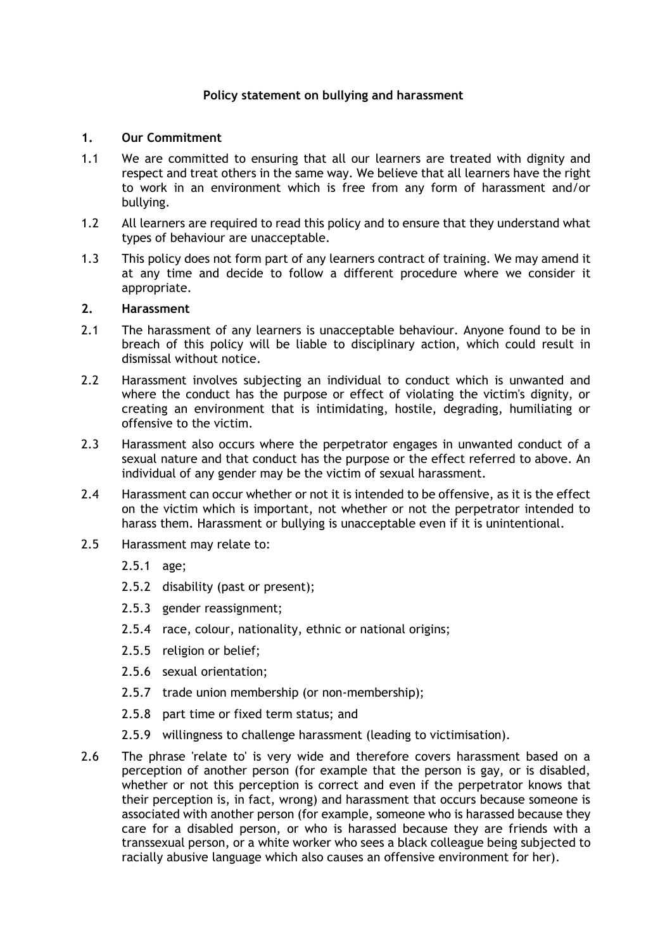## **Policy statement on bullying and harassment**

## **1. Our Commitment**

- 1.1 We are committed to ensuring that all our learners are treated with dignity and respect and treat others in the same way. We believe that all learners have the right to work in an environment which is free from any form of harassment and/or bullying.
- 1.2 All learners are required to read this policy and to ensure that they understand what types of behaviour are unacceptable.
- 1.3 This policy does not form part of any learners contract of training. We may amend it at any time and decide to follow a different procedure where we consider it appropriate.

## **2. Harassment**

- 2.1 The harassment of any learners is unacceptable behaviour. Anyone found to be in breach of this policy will be liable to disciplinary action, which could result in dismissal without notice.
- 2.2 Harassment involves subjecting an individual to conduct which is unwanted and where the conduct has the purpose or effect of violating the victim's dignity, or creating an environment that is intimidating, hostile, degrading, humiliating or offensive to the victim.
- 2.3 Harassment also occurs where the perpetrator engages in unwanted conduct of a sexual nature and that conduct has the purpose or the effect referred to above. An individual of any gender may be the victim of sexual harassment.
- 2.4 Harassment can occur whether or not it is intended to be offensive, as it is the effect on the victim which is important, not whether or not the perpetrator intended to harass them. Harassment or bullying is unacceptable even if it is unintentional.
- 2.5 Harassment may relate to:
	- 2.5.1 age;
	- 2.5.2 disability (past or present);
	- 2.5.3 gender reassignment;
	- 2.5.4 race, colour, nationality, ethnic or national origins;
	- 2.5.5 religion or belief;
	- 2.5.6 sexual orientation;
	- 2.5.7 trade union membership (or non-membership);
	- 2.5.8 part time or fixed term status; and
	- 2.5.9 willingness to challenge harassment (leading to victimisation).
- 2.6 The phrase 'relate to' is very wide and therefore covers harassment based on a perception of another person (for example that the person is gay, or is disabled, whether or not this perception is correct and even if the perpetrator knows that their perception is, in fact, wrong) and harassment that occurs because someone is associated with another person (for example, someone who is harassed because they care for a disabled person, or who is harassed because they are friends with a transsexual person, or a white worker who sees a black colleague being subjected to racially abusive language which also causes an offensive environment for her).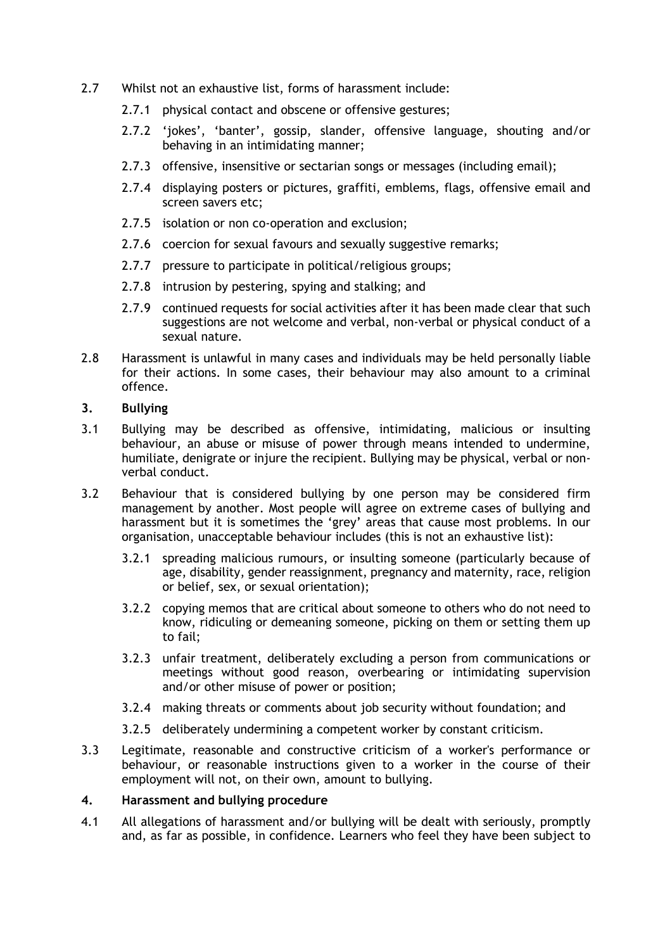- 2.7 Whilst not an exhaustive list, forms of harassment include:
	- 2.7.1 physical contact and obscene or offensive gestures;
	- 2.7.2 'jokes', 'banter', gossip, slander, offensive language, shouting and/or behaving in an intimidating manner;
	- 2.7.3 offensive, insensitive or sectarian songs or messages (including email);
	- 2.7.4 displaying posters or pictures, graffiti, emblems, flags, offensive email and screen savers etc;
	- 2.7.5 isolation or non co-operation and exclusion;
	- 2.7.6 coercion for sexual favours and sexually suggestive remarks;
	- 2.7.7 pressure to participate in political/religious groups;
	- 2.7.8 intrusion by pestering, spying and stalking; and
	- 2.7.9 continued requests for social activities after it has been made clear that such suggestions are not welcome and verbal, non-verbal or physical conduct of a sexual nature.
- 2.8 Harassment is unlawful in many cases and individuals may be held personally liable for their actions. In some cases, their behaviour may also amount to a criminal offence.
- **3. Bullying**
- 3.1 Bullying may be described as offensive, intimidating, malicious or insulting behaviour, an abuse or misuse of power through means intended to undermine, humiliate, denigrate or injure the recipient. Bullying may be physical, verbal or nonverbal conduct.
- 3.2 Behaviour that is considered bullying by one person may be considered firm management by another. Most people will agree on extreme cases of bullying and harassment but it is sometimes the 'grey' areas that cause most problems. In our organisation, unacceptable behaviour includes (this is not an exhaustive list):
	- 3.2.1 spreading malicious rumours, or insulting someone (particularly because of age, disability, gender reassignment, pregnancy and maternity, race, religion or belief, sex, or sexual orientation);
	- 3.2.2 copying memos that are critical about someone to others who do not need to know, ridiculing or demeaning someone, picking on them or setting them up to fail;
	- 3.2.3 unfair treatment, deliberately excluding a person from communications or meetings without good reason, overbearing or intimidating supervision and/or other misuse of power or position;
	- 3.2.4 making threats or comments about job security without foundation; and
	- 3.2.5 deliberately undermining a competent worker by constant criticism.
- 3.3 Legitimate, reasonable and constructive criticism of a worker's performance or behaviour, or reasonable instructions given to a worker in the course of their employment will not, on their own, amount to bullying.

## **4. Harassment and bullying procedure**

4.1 All allegations of harassment and/or bullying will be dealt with seriously, promptly and, as far as possible, in confidence. Learners who feel they have been subject to